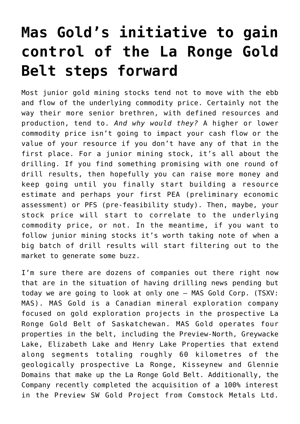## **[Mas Gold's initiative to gain](https://investorintel.com/markets/gold-silver-base-metals/gold-precious-metals-intel/mas-golds-initiative-to-gain-control-of-the-la-ronge-gold-belt-steps-forward/) [control of the La Ronge Gold](https://investorintel.com/markets/gold-silver-base-metals/gold-precious-metals-intel/mas-golds-initiative-to-gain-control-of-the-la-ronge-gold-belt-steps-forward/) [Belt steps forward](https://investorintel.com/markets/gold-silver-base-metals/gold-precious-metals-intel/mas-golds-initiative-to-gain-control-of-the-la-ronge-gold-belt-steps-forward/)**

Most junior gold mining stocks tend not to move with the ebb and flow of the underlying commodity price. Certainly not the way their more senior brethren, with defined resources and production, tend to. *And why would they?* A higher or lower commodity price isn't going to impact your cash flow or the value of your resource if you don't have any of that in the first place. For a junior mining stock, it's all about the drilling. If you find something promising with one round of drill results, then hopefully you can raise more money and keep going until you finally start building a resource estimate and perhaps your first PEA (preliminary economic assessment) or PFS (pre-feasibility study). Then, maybe, your stock price will start to correlate to the underlying commodity price, or not. In the meantime, if you want to follow junior mining stocks it's worth taking note of when a big batch of drill results will start filtering out to the market to generate some buzz.

I'm sure there are dozens of companies out there right now that are in the situation of having drilling news pending but today we are going to look at only one – [MAS Gold Corp.](https://sites.google.com/view/masgoldcorp/home) (TSXV: MAS). MAS Gold is a Canadian mineral exploration company focused on gold exploration projects in the prospective La Ronge Gold Belt of Saskatchewan. MAS Gold operates four properties in the belt, including the [Preview-North](https://sites.google.com/view/masgoldcorp/projects/la-ronge-gold-belt/preview-north-property), [Greywacke](https://sites.google.com/view/masgoldcorp/projects/la-ronge-gold-belt/greywacke-property) [Lake,](https://sites.google.com/view/masgoldcorp/projects/la-ronge-gold-belt/greywacke-property) Elizabeth Lake and Henry Lake Properties that extend along segments totaling roughly 60 kilometres of the geologically prospective La Ronge, Kisseynew and Glennie Domains that make up the La Ronge Gold Belt. Additionally, the Company recently completed [the acquisition](https://investorintel.com/markets/gold-silver-base-metals/gold-precious-metals-news/comstock-metals-ltd-and-mas-gold-corp-complete-sale-of-preview-sw-property/) of a 100% interest in the Preview SW Gold Project from Comstock Metals Ltd.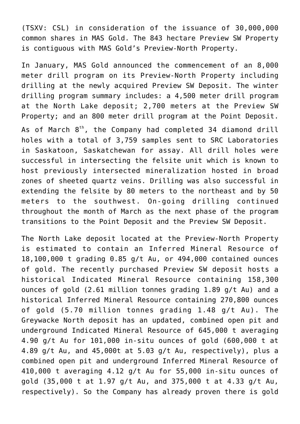(TSXV: CSL) in consideration of the issuance of 30,000,000 common shares in MAS Gold. The 843 hectare Preview SW Property is contiguous with MAS Gold's Preview-North Property.

In January, MAS Gold announced the commencement of an [8,000](https://investorintel.com/markets/gold-silver-base-metals/gold-precious-metals-news/8000m-drill-program-initiated-on-mas-golds-preview-north-property-and-comstocks-preview-sw-property-2/) [meter drill program](https://investorintel.com/markets/gold-silver-base-metals/gold-precious-metals-news/8000m-drill-program-initiated-on-mas-golds-preview-north-property-and-comstocks-preview-sw-property-2/) on its Preview-North Property including drilling at the newly acquired Preview SW Deposit. The winter drilling program summary includes: a 4,500 meter drill program at the North Lake deposit; 2,700 meters at the Preview SW Property; and an 800 meter drill program at the Point Deposit.

As of March  $8<sup>th</sup>$ , the Company had [completed 34 diamond drill](https://investorintel.com/markets/gold-silver-base-metals/gold-precious-metals-news/mas-gold-completes-drilling-on-their-100-owned-north-lake-deposit/) [holes](https://investorintel.com/markets/gold-silver-base-metals/gold-precious-metals-news/mas-gold-completes-drilling-on-their-100-owned-north-lake-deposit/) with a total of 3,759 samples sent to SRC Laboratories in Saskatoon, Saskatchewan for assay. All drill holes were successful in intersecting the felsite unit which is known to host previously intersected mineralization hosted in broad zones of sheeted quartz veins. Drilling was also successful in extending the felsite by 80 meters to the northeast and by 50 meters to the southwest. On-going drilling continued throughout the month of March as the next phase of the program transitions to the Point Deposit and the Preview SW Deposit.

The North Lake deposit located at the Preview-North Property is estimated to contain an Inferred Mineral Resource of 18,100,000 t grading 0.85 g/t Au, or 494,000 contained ounces of gold. The recently purchased Preview SW deposit hosts a historical Indicated Mineral Resource containing 158,300 ounces of gold (2.61 million tonnes grading 1.89 g/t Au) and a historical Inferred Mineral Resource containing 270,800 ounces of gold (5.70 million tonnes grading 1.48 g/t Au). The Greywacke North deposit has an updated, combined open pit and underground Indicated Mineral Resource of 645,000 t averaging 4.90 g/t Au for 101,000 in-situ ounces of gold (600,000 t at 4.89 g/t Au, and 45,000t at 5.03 g/t Au, respectively), plus a combined open pit and underground Inferred Mineral Resource of 410,000 t averaging 4.12 g/t Au for 55,000 in-situ ounces of gold (35,000 t at 1.97 g/t Au, and 375,000 t at 4.33 g/t Au, respectively). So the Company has already proven there is gold